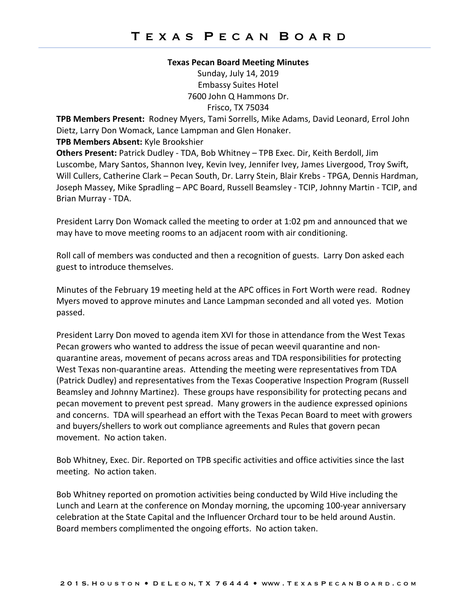## **Texas Pecan Board Meeting Minutes**

Sunday, July 14, 2019 Embassy Suites Hotel 7600 John Q Hammons Dr. Frisco, TX 75034

**TPB Members Present:** Rodney Myers, Tami Sorrells, Mike Adams, David Leonard, Errol John Dietz, Larry Don Womack, Lance Lampman and Glen Honaker.

## **TPB Members Absent:** Kyle Brookshier

**Others Present:** Patrick Dudley - TDA, Bob Whitney – TPB Exec. Dir, Keith Berdoll, Jim Luscombe, Mary Santos, Shannon Ivey, Kevin Ivey, Jennifer Ivey, James Livergood, Troy Swift, Will Cullers, Catherine Clark – Pecan South, Dr. Larry Stein, Blair Krebs - TPGA, Dennis Hardman, Joseph Massey, Mike Spradling – APC Board, Russell Beamsley - TCIP, Johnny Martin - TCIP, and Brian Murray - TDA.

President Larry Don Womack called the meeting to order at 1:02 pm and announced that we may have to move meeting rooms to an adjacent room with air conditioning.

Roll call of members was conducted and then a recognition of guests. Larry Don asked each guest to introduce themselves.

Minutes of the February 19 meeting held at the APC offices in Fort Worth were read. Rodney Myers moved to approve minutes and Lance Lampman seconded and all voted yes. Motion passed.

President Larry Don moved to agenda item XVI for those in attendance from the West Texas Pecan growers who wanted to address the issue of pecan weevil quarantine and nonquarantine areas, movement of pecans across areas and TDA responsibilities for protecting West Texas non-quarantine areas. Attending the meeting were representatives from TDA (Patrick Dudley) and representatives from the Texas Cooperative Inspection Program (Russell Beamsley and Johnny Martinez). These groups have responsibility for protecting pecans and pecan movement to prevent pest spread. Many growers in the audience expressed opinions and concerns. TDA will spearhead an effort with the Texas Pecan Board to meet with growers and buyers/shellers to work out compliance agreements and Rules that govern pecan movement. No action taken.

Bob Whitney, Exec. Dir. Reported on TPB specific activities and office activities since the last meeting. No action taken.

Bob Whitney reported on promotion activities being conducted by Wild Hive including the Lunch and Learn at the conference on Monday morning, the upcoming 100-year anniversary celebration at the State Capital and the Influencer Orchard tour to be held around Austin. Board members complimented the ongoing efforts. No action taken.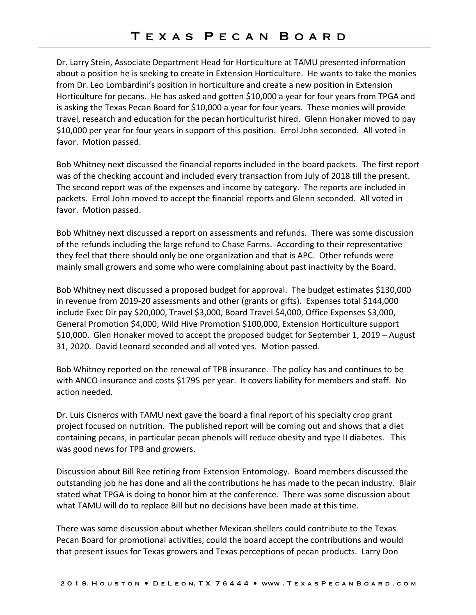Dr. Larry Stein, Associate Department Head for Horticulture at TAMU presented information about a position he is seeking to create in Extension Horticulture. He wants to take the monies from Dr. Leo Lombardini's position in horticulture and create a new position in Extension Horticulture for pecans. He has asked and gotten \$10,000 a year for four years from TPGA and is asking the Texas Pecan Board for \$10,000 a year for four years. These monies will provide travel, research and education for the pecan horticulturist hired. Glenn Honaker moved to pay \$10,000 per year for four years in support of this position. Errol John seconded. All voted in favor. Motion passed.

Bob Whitney next discussed the financial reports included in the board packets. The first report was of the checking account and included every transaction from July of 2018 till the present. The second report was of the expenses and income by category. The reports are included in packets. Errol John moved to accept the financial reports and Glenn seconded. All voted in favor. Motion passed.

Bob Whitney next discussed a report on assessments and refunds. There was some discussion of the refunds including the large refund to Chase Farms. According to their representative they feel that there should only be one organization and that is APC. Other refunds were mainly small growers and some who were complaining about past inactivity by the Board.

Bob Whitney next discussed a proposed budget for approval. The budget estimates \$130,000 in revenue from 2019-20 assessments and other (grants or gifts). Expenses total \$144,000 include Exec Dir pay \$20,000, Travel \$3,000, Board Travel \$4,000, Office Expenses \$3,000, General Promotion \$4,000, Wild Hive Promotion \$100,000, Extension Horticulture support \$10,000. Glen Honaker moved to accept the proposed budget for September 1, 2019 – August 31, 2020. David Leonard seconded and all voted yes. Motion passed.

Bob Whitney reported on the renewal of TPB insurance. The policy has and continues to be with ANCO insurance and costs \$1795 per year. It covers liability for members and staff. No action needed.

Dr. Luis Cisneros with TAMU next gave the board a final report of his specialty crop grant project focused on nutrition. The published report will be coming out and shows that a diet containing pecans, in particular pecan phenols will reduce obesity and type II diabetes. This was good news for TPB and growers.

Discussion about Bill Ree retiring from Extension Entomology. Board members discussed the outstanding job he has done and all the contributions he has made to the pecan industry. Blair stated what TPGA is doing to honor him at the conference. There was some discussion about what TAMU will do to replace Bill but no decisions have been made at this time.

There was some discussion about whether Mexican shellers could contribute to the Texas Pecan Board for promotional activities, could the board accept the contributions and would that present issues for Texas growers and Texas perceptions of pecan products. Larry Don